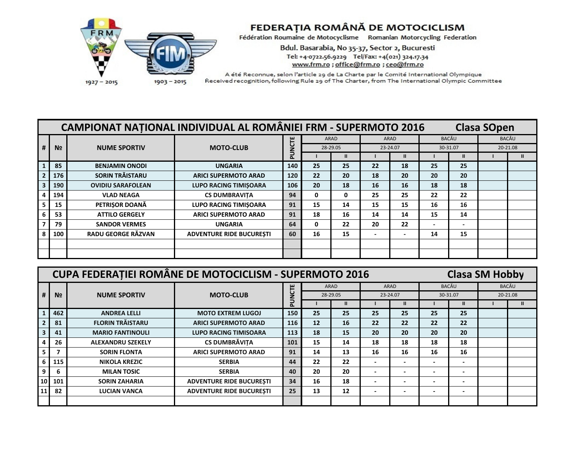

## FEDERAȚIA ROMÂNĂ DE MOTOCICLISM<br>Fédération Roumaine de Motocyclisme Romanian Motorcycling Federation

Bdul. Basarabia, No 35-37, Sector 2, Bucuresti Tel: +4-0722.56.9229 Tel/Fax: +4(021) 324.17.34 www.frm.ro ; office@frm.ro ; ceo@frm.ro

A été Reconnue, selon l'article 29 de La Charte par le Comité International Olympique Received recognition, following Rule 29 of The Charter, from The International Olympic Committee

| <b>CAMPIONAT NATIONAL INDIVIDUAL AL ROMÂNIEI FRM - SUPERMOTO 2016</b><br><b>Clasa SOpen</b> |                |                          |                                 |        |                         |    |                          |      |       |              |          |  |
|---------------------------------------------------------------------------------------------|----------------|--------------------------|---------------------------------|--------|-------------------------|----|--------------------------|------|-------|--------------|----------|--|
|                                                                                             |                | <b>NUME SPORTIV</b>      |                                 |        | <b>ARAD</b><br>28-29.05 |    |                          | ARAD | BACĂU |              | BACĂU    |  |
| #                                                                                           | N <sub>2</sub> |                          | <b>MOTO-CLUB</b>                | PUNCTE |                         |    | 23-24.07                 |      |       | 30-31.07     | 20-21.08 |  |
|                                                                                             |                |                          |                                 |        |                         | Ш  |                          |      |       | $\mathbf{u}$ |          |  |
|                                                                                             | 85             | <b>BENJAMIN ONODI</b>    | <b>UNGARIA</b>                  | 140    | 25                      | 25 | 22                       | 18   | 25    | 25           |          |  |
|                                                                                             | 176            | SORIN TRĂISTARU          | <b>ARICI SUPERMOTO ARAD</b>     | 120    | 22                      | 20 | 18                       | 20   | 20    | 20           |          |  |
|                                                                                             | 190            | <b>OVIDIU SARAFOLEAN</b> | <b>LUPO RACING TIMISOARA</b>    | 106    | 20                      | 18 | 16                       | 16   | 18    | 18           |          |  |
|                                                                                             | 194            | <b>VLAD NEAGA</b>        | <b>CS DUMBRAVITA</b>            | 94     | 0                       | 0  | 25                       | 25   | 22    | 22           |          |  |
|                                                                                             | 15             | PETRIŞOR DOANĂ           | <b>LUPO RACING TIMISOARA</b>    | 91     | 15                      | 14 | 15                       | 15   | 16    | 16           |          |  |
|                                                                                             | 53             | <b>ATTILO GERGELY</b>    | <b>ARICI SUPERMOTO ARAD</b>     | 91     | 18                      | 16 | 14                       | 14   | 15    | 14           |          |  |
|                                                                                             | 79             | <b>SANDOR VERMES</b>     | <b>UNGARIA</b>                  | 64     | 0                       | 22 | 20                       | 22   | -     |              |          |  |
|                                                                                             | 100            | RADU GEORGE RĂZVAN       | <b>ADVENTURE RIDE BUCURESTI</b> | 60     | 16                      | 15 | $\overline{\phantom{0}}$ |      | 14    | 15           |          |  |
|                                                                                             |                |                          |                                 |        |                         |    |                          |      |       |              |          |  |
|                                                                                             |                |                          |                                 |        |                         |    |                          |      |       |              |          |  |

|                | <b>CUPA FEDERATIEI ROMÂNE DE MOTOCICLISM - SUPERMOTO 2016</b> | <b>Clasa SM Hobby</b>           |        |                  |    |                          |      |              |                          |              |    |
|----------------|---------------------------------------------------------------|---------------------------------|--------|------------------|----|--------------------------|------|--------------|--------------------------|--------------|----|
|                | <b>NUME SPORTIV</b>                                           | <b>MOTO-CLUB</b>                |        | ARAD<br>28-29.05 |    |                          | ARAD | <b>BACĂU</b> |                          | <b>BACĂU</b> |    |
| N <sub>2</sub> |                                                               |                                 | PUNCTE |                  |    | 23-24.07                 |      |              | 30-31.07                 | 20-21.08     |    |
|                |                                                               |                                 |        |                  |    |                          |      |              |                          |              | Ш. |
| 462            | <b>ANDREA LELLI</b>                                           | <b>MOTO EXTREM LUGOJ</b>        | 150    | 25               | 25 | 25                       | 25   | 25           | 25                       |              |    |
| 81             | <b>FLORIN TRĂISTARU</b>                                       | <b>ARICI SUPERMOTO ARAD</b>     | 116    | 12 <sup>2</sup>  | 16 | 22                       | 22   | 22           | 22                       |              |    |
| 41             | <b>MARIO FANTINOULI</b>                                       | <b>LUPO RACING TIMISOARA</b>    | 113    | 18               | 15 | 20                       | 20   | 20           | 20                       |              |    |
| 26             | <b>ALEXANDRU SZEKELY</b>                                      | <b>CS DUMBRĂVIȚA</b>            | 101    | 15               | 14 | 18                       | 18   | 18           | 18                       |              |    |
|                | <b>SORIN FLONTA</b>                                           | <b>ARICI SUPERMOTO ARAD</b>     | 91     | 14               | 13 | 16                       | 16   | 16           | 16                       |              |    |
| 115            | <b>NIKOLA KREZIC</b>                                          | <b>SERBIA</b>                   | 44     | 22               | 22 | $\overline{\phantom{a}}$ |      |              | $\overline{\phantom{0}}$ |              |    |
| 6              | <b>MILAN TOSIC</b>                                            | <b>SERBIA</b>                   | 40     | 20               | 20 | $\overline{\phantom{0}}$ |      |              | $\overline{\phantom{0}}$ |              |    |
| 101            | <b>SORIN ZAHARIA</b>                                          | <b>ADVENTURE RIDE BUCURESTI</b> | 34     | 16               | 18 | $\,$                     |      |              | $\overline{\phantom{0}}$ |              |    |
| 82             | <b>LUCIAN VANCA</b>                                           | <b>ADVENTURE RIDE BUCURESTI</b> | 25     | 13               | 12 | $\overline{\phantom{0}}$ |      |              | $\overline{\phantom{0}}$ |              |    |
|                |                                                               |                                 |        |                  |    |                          |      |              |                          |              |    |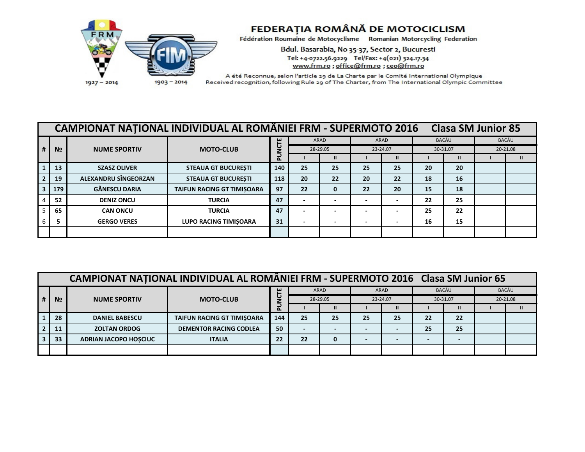

## FEDERAȚIA ROMÂNĂ DE MOTOCICLISM

Fédération Roumaine de Motocyclisme Romanian Motorcycling Federation

Bdul. Basarabia, No 35-37, Sector 2, Bucuresti Tel: +4-0722.56.9229 Tel/Fax: +4(021) 324.17.34 www.frm.ro; office@frm.ro; ceo@frm.ro

A été Reconnue, selon l'article 29 de La Charte par le Comité International Olympique Received recognition, following Rule 29 of The Charter, from The International Olympic Committee

| <b>CAMPIONAT NATIONAL INDIVIDUAL AL ROMÂNIEI FRM - SUPERMOTO 2016</b><br><b>Clasa SM Junior 85</b> |                |                      |                              |     |                         |                          |          |    |          |    |          |              |
|----------------------------------------------------------------------------------------------------|----------------|----------------------|------------------------------|-----|-------------------------|--------------------------|----------|----|----------|----|----------|--------------|
|                                                                                                    |                | <b>NUME SPORTIV</b>  | <b>MOTO-CLUB</b>             |     |                         | ARAD                     | ARAD     |    | BACĂU    |    |          | <b>BACĂU</b> |
|                                                                                                    | N <sub>2</sub> |                      |                              |     | <b>NCTE</b><br>28-29.05 |                          | 23-24.07 |    | 30-31.07 |    | 20-21.08 |              |
|                                                                                                    |                |                      |                              | 쿄   |                         | $\mathbf{I}$             |          | Ш  |          |    |          |              |
|                                                                                                    | 13             | <b>SZASZ OLIVER</b>  | <b>STEAUA GT BUCUREȘTI</b>   | 140 | 25                      | 25                       | 25       | 25 | 20       | 20 |          |              |
|                                                                                                    | 19             | ALEXANDRU SÎNGEORZAN | <b>STEAUA GT BUCURESTI</b>   | 118 | 20                      | 22                       | 20       | 22 | 18       | 16 |          |              |
|                                                                                                    | 179            | <b>GĂNESCU DARIA</b> | TAIFUN RACING GT TIMIȘOARA   | 97  | 22                      | 0                        | 22       | 20 | 15       | 18 |          |              |
|                                                                                                    | 52             | <b>DENIZ ONCU</b>    | <b>TURCIA</b>                | 47  | -                       | $\overline{\phantom{a}}$ |          |    | 22       | 25 |          |              |
|                                                                                                    | 65             | <b>CAN ONCU</b>      | <b>TURCIA</b>                | 47  |                         |                          |          |    | 25       | 22 |          |              |
|                                                                                                    |                | <b>GERGO VERES</b>   | <b>LUPO RACING TIMISOARA</b> | 31  | -                       | $\overline{\phantom{0}}$ |          | -  | 16       | 15 |          |              |
|                                                                                                    |                |                      |                              |     |                         |                          |          |    |          |    |          |              |

| CAMPIONAT NATIONAL INDIVIDUAL AL ROMÂNIEI FRM - SUPERMOTO 2016 Clasa SM Junior 65 |                |                              |                                   |     |          |                          |          |      |    |          |          |  |
|-----------------------------------------------------------------------------------|----------------|------------------------------|-----------------------------------|-----|----------|--------------------------|----------|------|----|----------|----------|--|
|                                                                                   | N <sub>2</sub> | <b>NUME SPORTIV</b>          | <b>MOTO-CLUB</b>                  | ш   |          | ARAD                     |          | ARAD |    | BACĂU    | BACĂU    |  |
|                                                                                   |                |                              |                                   | ں   | 28-29.05 |                          | 23-24.07 |      |    | 30-31.07 | 20-21.08 |  |
|                                                                                   |                |                              |                                   | ௨   |          | $\mathbf{II}$            |          |      |    |          |          |  |
|                                                                                   | 28             | <b>DANIEL BABESCU</b>        | <b>TAIFUN RACING GT TIMISOARA</b> | 144 | 25       | 25                       | 25       | 25   | 22 | 22       |          |  |
|                                                                                   | 11             | <b>ZOLTAN ORDOG</b>          | <b>DEMENTOR RACING CODLEA</b>     | 50  |          | $\overline{\phantom{a}}$ |          |      | 25 | 25       |          |  |
|                                                                                   | 33             | <b>ADRIAN JACOPO HOSCIUC</b> | <b>ITALIA</b>                     | 22  | 22       | 0                        |          |      |    |          |          |  |
|                                                                                   |                |                              |                                   |     |          |                          |          |      |    |          |          |  |